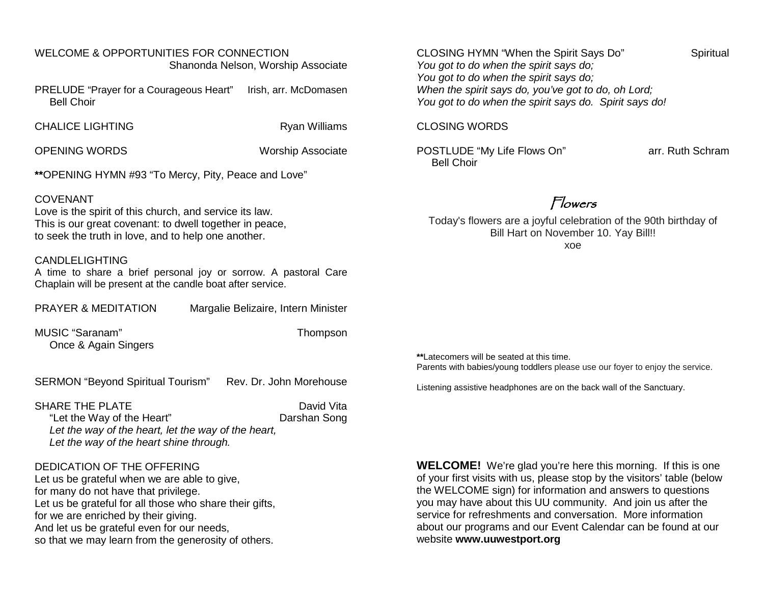### WELCOME & OPPORTUNITIES FOR CONNECTION Shanonda Nelson, Worship Associate

PRELUDE "Prayer for a Courageous Heart" Irish, arr. McDomasen Bell Choir

CHALICE LIGHTING **Ryan Williams** 

OPENING WORDS WORDS Worship Associate

**\*\***OPENING HYMN #93 "To Mercy, Pity, Peace and Love"

#### COVENANT

Love is the spirit of this church, and service its law. This is our great covenant: to dwell together in peace, to seek the truth in love, and to help one another.

#### CANDLELIGHTING

A time to share a brief personal joy or sorrow. A pastoral Care Chaplain will be present at the candle boat after service.

MUSIC "Saranam" Thompson Once & Again Singers

SERMON "Beyond Spiritual Tourism" Rev. Dr. John Morehouse

SHARE THE PLATE **DAVID ASSESSED ASSAULT** David Vita

 "Let the Way of the Heart" Darshan Song *Let the way of the heart, let the way of the heart, Let the way of the heart shine through.*

### DEDICATION OF THE OFFERING

Let us be grateful when we are able to give. for many do not have that privilege. Let us be grateful for all those who share their gifts, for we are enriched by their giving. And let us be grateful even for our needs, so that we may learn from the generosity of others.

CLOSING HYMN "When the Spirit Says Do" Spiritual *You got to do when the spirit says do; You got to do when the spirit says do; When the spirit says do, you've got to do, oh Lord; You got to do when the spirit says do. Spirit says do!*

#### CLOSING WORDS

POSTLUDE "My Life Flows On" arr. Ruth Schram Bell Choir

# Flowers

Today's flowers are a joyful celebration of the 90th birthday of Bill Hart on November 10. Yay Bill!! xoe

**\*\***Latecomers will be seated at this time. Parents with babies/young toddlers please use our foyer to enjoy the service.

Listening assistive headphones are on the back wall of the Sanctuary.

**WELCOME!** We're glad you're here this morning. If this is one of your first visits with us, please stop by the visitors' table (below the WELCOME sign) for information and answers to questions you may have about this UU community. And join us after the service for refreshments and conversation. More information about our programs and our Event Calendar can be found at our website **[www.uuwestport.org](http://www.uuwestport.org/)**